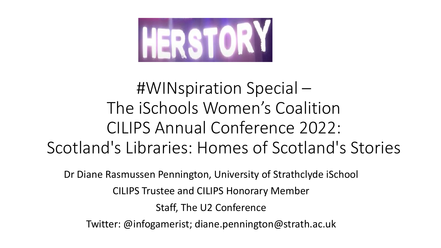

### #WINspiration Special – The iSchools Women's Coalition CILIPS Annual Conference 2022: Scotland's Libraries: Homes of Scotland's Stories

Dr Diane Rasmussen Pennington, University of Strathclyde iSchool

CILIPS Trustee and CILIPS Honorary Member

Staff, The U2 Conference

Twitter: @infogamerist; diane.pennington@strath.ac.uk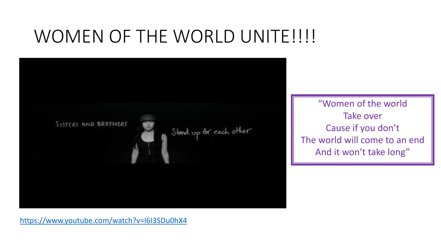### WOMEN OF THE WORLD UNITE!!!!



"Women of the world Take over Cause if you don't The world will come to an end And it won't take long"

<https://www.youtube.com/watch?v=I6I3SDu0hX4>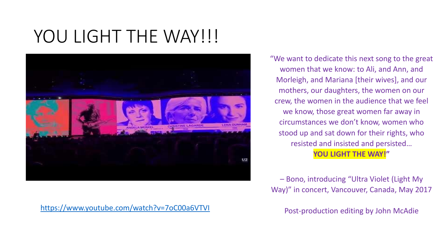# YOU LIGHT THE WAY!!!



"We want to dedicate this next song to the great women that we know: to Ali, and Ann, and Morleigh, and Mariana [their wives], and our mothers, our daughters, the women on our crew, the women in the audience that we feel we know, those great women far away in circumstances we don't know, women who stood up and sat down for their rights, who resisted and insisted and persisted… **YOU LIGHT THE WAY!"** 

– Bono, introducing "Ultra Violet (Light My Way)" in concert, Vancouver, Canada, May 2017

<https://www.youtube.com/watch?v=7oC00a6VTVI> Post-production editing by John McAdie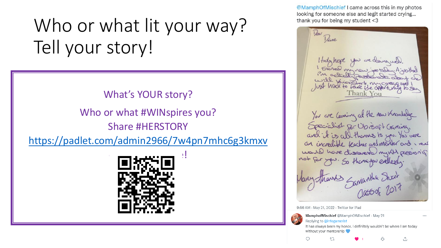# Who or what lit your way? Tell your story!

### What's YOUR story?

Who or what #WINspires you? Share #HERSTORY

<https://padlet.com/admin2966/7w4pn7mhc6g3kmxv>



@MamphOfMischief I came across this in my photos looking for someone else and legit started crying... thank you for being my student <3

1 kar Piane I try help You are Coming at the new Knowledge Specialist par Ubisoft Craming.<br>and it is all thanks to you. You were ward have dissered my 144 prosioning not for you. So thenuyou endlessly. thanks Eamantha Sheet

9:56 AM · May 21, 2022 · Twitter for iPad

门



O

MamphofMischief @MamphOfMischief · May 21 Replying to @infogamerist

It has always been my honor. I definitely wouldn't be where I am today without your mentorship

ᠿ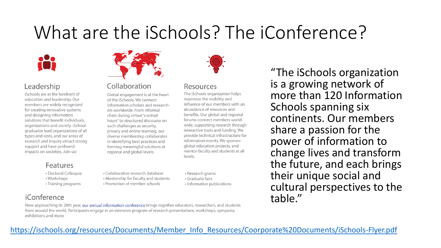# What are the iSchools? The iConference?

**Resources** 

The iSchools organization helps

influence of our members with an

benefits. Our global and regional

forums connect members world-

wide, supporting research through

provide technical infrastructure for

mentor faculty and students at all

interactive tools and funding. We

information events. We sponsor

global education projects, and

maximize the visibility and

abundance of resources and



#### Leadership

iSchools are at the forefront of education and leadership. Our members are widely recognized for creating innovative systems and designing information solutions that benefit individuals. organizations and society. iSchool graduates lead organizations of all types and sizes, and our areas of research and inquiry attract strong support and have profound impacts on societies. Join us!



#### Collaboration

Global engagement is at the heart of the iSchools. We connect information scholars and researchers worldwide. From informal chats during virtual "cocktail hours" to structured discourse on such challenges as security, privacy and online learning, our diverse membership collaborates in identifying best practices and forming meaningful solutions at regional and global levels.

#### **Features**

iConference

- Doctoral Colloquia • Workshops • Training programs
- Collaborative research database • Mentorship for faculty and students • Promotion of member schools

• Research grants • Graduate fairs

levels.

• Informative publications

"The iSchools organization is a growing network of more than 120 Information Schools spanning six continents. Our members share a passion for the power of information to change lives and transform the future, and each brings their unique social and cultural perspectives to the table."

Now approaching its 20th year, our annual information conference brings together educators, researchers, and students from around the world. Participants engage in an intensive program of research presentations, workshops, symposia, exhibitions and more.

[https://ischools.org/resources/Documents/Member\\_Info\\_Resources/Coorporate%20Documents/iSchools-Flyer.pdf](https://ischools.org/resources/Documents/Member_Info_Resources/Coorporate%20Documents/iSchools-Flyer.pdf)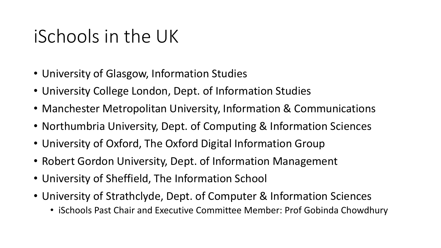## iSchools in the UK

- University of Glasgow, Information Studies
- University College London, Dept. of Information Studies
- Manchester Metropolitan University, Information & Communications
- Northumbria University, Dept. of Computing & Information Sciences
- University of Oxford, The Oxford Digital Information Group
- Robert Gordon University, Dept. of Information Management
- University of Sheffield, The Information School
- University of Strathclyde, Dept. of Computer & Information Sciences
	- iSchools Past Chair and Executive Committee Member: Prof Gobinda Chowdhury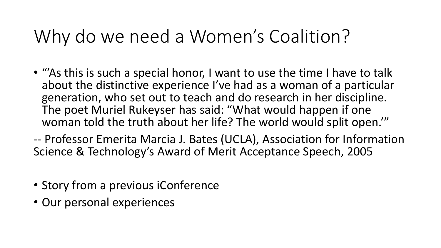## Why do we need a Women's Coalition?

• "'As this is such a special honor, I want to use the time I have to talk about the distinctive experience I've had as a woman of a particular generation, who set out to teach and do research in her discipline. The poet Muriel Rukeyser has said: "What would happen if one woman told the truth about her life? The world would split open.'"

-- Professor Emerita Marcia J. Bates (UCLA), Association for Information Science & Technology's Award of Merit Acceptance Speech, 2005

- Story from a previous iConference
- Our personal experiences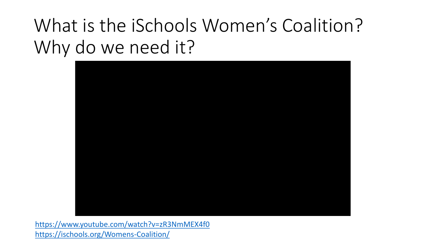# What is the iSchools Women's Coalition? Why do we need it?



<https://www.youtube.com/watch?v=zR3NmMEX4f0> <https://ischools.org/Womens-Coalition/>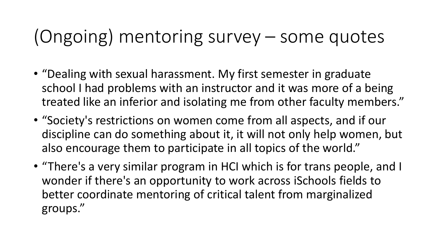### (Ongoing) mentoring survey – some quotes

- "Dealing with sexual harassment. My first semester in graduate school I had problems with an instructor and it was more of a being treated like an inferior and isolating me from other faculty members."
- "Society's restrictions on women come from all aspects, and if our discipline can do something about it, it will not only help women, but also encourage them to participate in all topics of the world."
- "There's a very similar program in HCI which is for trans people, and I wonder if there's an opportunity to work across iSchools fields to better coordinate mentoring of critical talent from marginalized groups."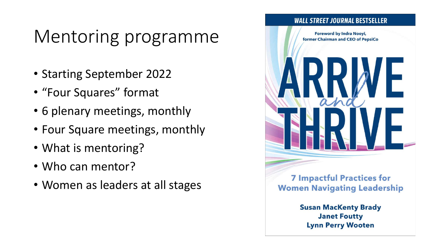# Mentoring programme

- Starting September 2022
- "Four Squares" format
- 6 plenary meetings, monthly
- Four Square meetings, monthly
- What is mentoring?
- Who can mentor?
- Women as leaders at all stages

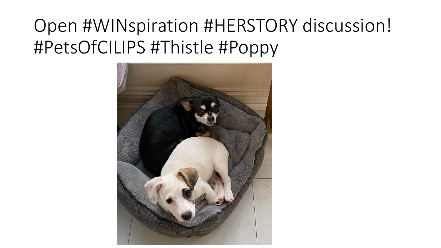# Open #WINspiration #HERSTORY discussion! #PetsOfCILIPS #Thistle #Poppy